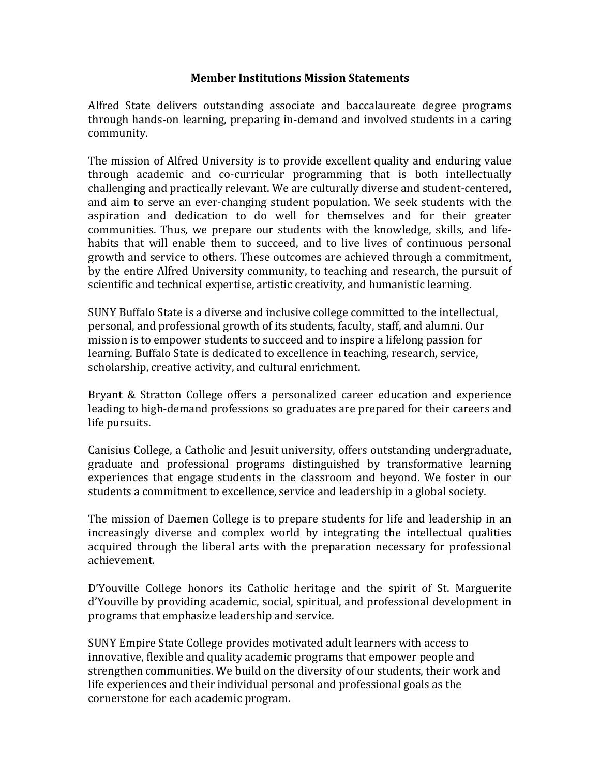## **Member Institutions Mission Statements**

Alfred State delivers outstanding associate and baccalaureate degree programs through hands-on learning, preparing in-demand and involved students in a caring community. 

The mission of Alfred University is to provide excellent quality and enduring value through academic and co-curricular programming that is both intellectually challenging and practically relevant. We are culturally diverse and student-centered, and aim to serve an ever-changing student population. We seek students with the aspiration and dedication to do well for themselves and for their greater communities. Thus, we prepare our students with the knowledge, skills, and lifehabits that will enable them to succeed, and to live lives of continuous personal growth and service to others. These outcomes are achieved through a commitment, by the entire Alfred University community, to teaching and research, the pursuit of scientific and technical expertise, artistic creativity, and humanistic learning.

SUNY Buffalo State is a diverse and inclusive college committed to the intellectual, personal, and professional growth of its students, faculty, staff, and alumni. Our mission is to empower students to succeed and to inspire a lifelong passion for learning. Buffalo State is dedicated to excellence in teaching, research, service, scholarship, creative activity, and cultural enrichment.

Bryant & Stratton College offers a personalized career education and experience leading to high-demand professions so graduates are prepared for their careers and life pursuits.

Canisius College, a Catholic and Jesuit university, offers outstanding undergraduate, graduate and professional programs distinguished by transformative learning experiences that engage students in the classroom and beyond. We foster in our students a commitment to excellence, service and leadership in a global society.

The mission of Daemen College is to prepare students for life and leadership in an increasingly diverse and complex world by integrating the intellectual qualities acquired through the liberal arts with the preparation necessary for professional achievement. 

D'Youville College honors its Catholic heritage and the spirit of St. Marguerite d'Youville by providing academic, social, spiritual, and professional development in programs that emphasize leadership and service.

SUNY Empire State College provides motivated adult learners with access to innovative, flexible and quality academic programs that empower people and strengthen communities. We build on the diversity of our students, their work and life experiences and their individual personal and professional goals as the cornerstone for each academic program.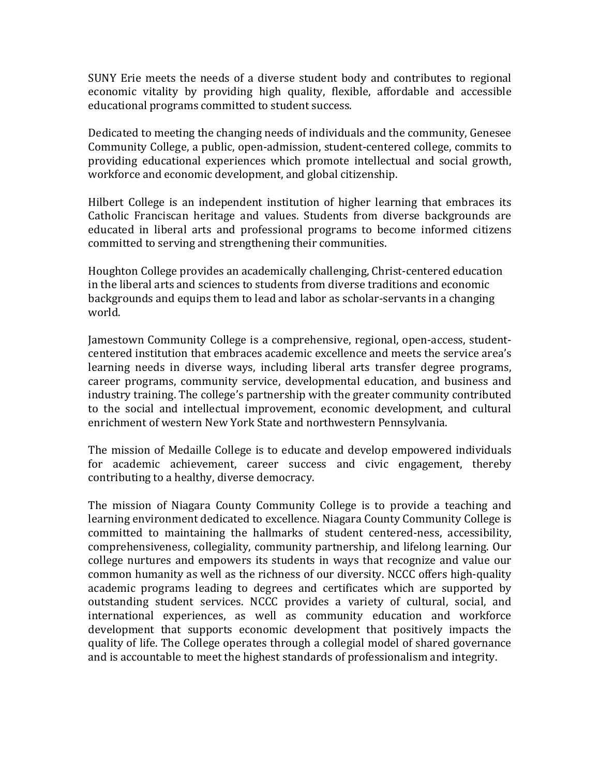SUNY Erie meets the needs of a diverse student body and contributes to regional economic vitality by providing high quality, flexible, affordable and accessible educational programs committed to student success.

Dedicated to meeting the changing needs of individuals and the community, Genesee Community College, a public, open-admission, student-centered college, commits to providing educational experiences which promote intellectual and social growth, workforce and economic development, and global citizenship.

Hilbert College is an independent institution of higher learning that embraces its Catholic Franciscan heritage and values. Students from diverse backgrounds are educated in liberal arts and professional programs to become informed citizens committed to serving and strengthening their communities.

Houghton College provides an academically challenging, Christ-centered education in the liberal arts and sciences to students from diverse traditions and economic backgrounds and equips them to lead and labor as scholar-servants in a changing world.

Jamestown Community College is a comprehensive, regional, open-access, studentcentered institution that embraces academic excellence and meets the service area's learning needs in diverse ways, including liberal arts transfer degree programs, career programs, community service, developmental education, and business and industry training. The college's partnership with the greater community contributed to the social and intellectual improvement, economic development, and cultural enrichment of western New York State and northwestern Pennsylvania.

The mission of Medaille College is to educate and develop empowered individuals for academic achievement, career success and civic engagement, thereby contributing to a healthy, diverse democracy.

The mission of Niagara County Community College is to provide a teaching and learning environment dedicated to excellence. Niagara County Community College is committed to maintaining the hallmarks of student centered-ness, accessibility, comprehensiveness, collegiality, community partnership, and lifelong learning. Our college nurtures and empowers its students in ways that recognize and value our common humanity as well as the richness of our diversity. NCCC offers high-quality academic programs leading to degrees and certificates which are supported by outstanding student services. NCCC provides a variety of cultural, social, and international experiences, as well as community education and workforce development that supports economic development that positively impacts the quality of life. The College operates through a collegial model of shared governance and is accountable to meet the highest standards of professionalism and integrity.